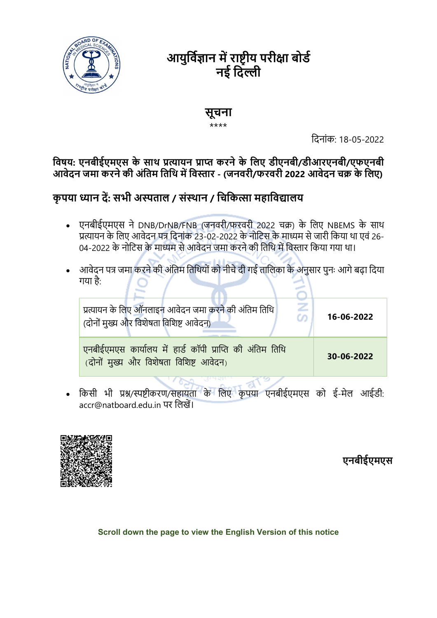

# आयुर्विज्ञान में राष्ट्रीय परीक्षा बोर्ड नई दिल्ली

### सूचना

#### \*\*\*\*

िदनांक: 18-05-2022

### विषय: एनबीईएमएस के साथ प्रत्यायन प्राप्त करने के लिए डीएनबी/डीआरएनबी/एफएनबी आवेदन जमा करने की अंतिम तिथि में विस्तार - (जनवरी/फरवरी 2022 आवेदन चक्र के लिए)

# कृपया ध्यान दें: सभी अस्पताल / संस्थान / चिकित्सा महाविद्यालय

- एनबीईएमएस ने DNB/DrNB/FNB (जनवरी/फरवरी 2022 चक्र) के लिए NBEMS के साथ प्रत्यायन के लिए आवेदन पत्र दिनांक 23-02-2022 के नोटिस के माध्यम से जारी किया था एवं 26-04-2022 के नोटिस के माध्यम से आवेदन जमा करने की तिथि में विस्तार किया गया था।
- आवेदन पत्र जमा करने की अंतिम तिथियों को नीचे दी गई तालिका के अनुसार पुनः आगे बढ़ा दिया गया है:

| प्रत्यायन के लिए ऑनलाइन आवेदन जमा करने की अंतिम तिथि<br>co<br>(दोनों मुख्य और विशेषता विशिष्ट आवेदन) | 16-06-2022 |
|------------------------------------------------------------------------------------------------------|------------|
| एनबीईएमएस कार्यालय में हार्ड कॉपी प्राप्ति की अंतिम तिथि<br>(दोनों मुख्य और विशेषता विशिष्ट आवेदन)   | 30-06-2022 |

• किसी भी प्रश्न/स्पष्टीकरण/सहायता के लिए कृपया एनबीईएमएस को ई-मेल आईडी: accr@natboard.edu.in पर लिखें।



# एनबीईएमएस

Scroll down the page to view the English Version of this notice